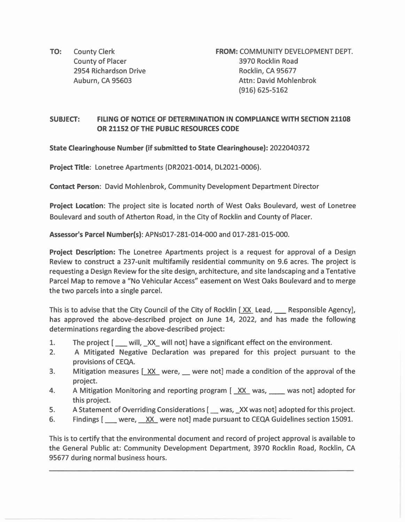TO: County Clerk County of Placer 2954 Richardson Drive Auburn, CA 95603

**FROM:** COMMUNITY DEVELOPMENT DEPT. 3970 Rocklin Road Rocklin, CA 95677 Attn: David Mohlenbrok (916) 625-5162

## **SUBJECT: FILING OF NOTICE OF DETERMINATION IN COMPLIANCE WITH SECTION 21108 OR 21152 OF THE PUBLIC RESOURCES CODE**

**State Clearinghouse Number (if submitted to State Clearinghouse):** 2022040372

**Project Title:** Lonetree Apartments (DR2021-0014, DL2021-0006).

**Contact Person:** David Mohlenbrok, Community Development Department Director

**Project Location:** The project site is located north of West Oaks Boulevard, west of Lonetree Boulevard and south of Atherton Road, in the City of Rocklin and County of Placer.

**Assessor's Parcel Number(s):** APNs017-281-014-000 and 017-281-015-000.

**Project Description:** The Lonetree Apartments project is a request for approval of a Design Review to construct a 237-unit multifamily residential community on 9.6 acres. The project is requesting a Design Review for the site design, architecture, and site landscaping and a Tentative Parcel Map to remove a "No Vehicular Access" easement on West Oaks Boulevard and to merge the two parcels into a single parcel.

This is to advise that the City Council of the City of Rocklin [XX Lead, Shares Responsible Agency], has approved the above-described project on June 14, 2022, and has made the following determinations regarding the above-described project:

- 1. The project [ \_\_\_ will, \_XX\_ will not] have a significant effect on the environment.
- 2. A Mitigated Negative Declaration was prepared for this project pursuant to the provisions of CEQA.
- 3. Mitigation measures  $[XX]$  were, were not] made a condition of the approval of the project.
- 4. A Mitigation Monitoring and reporting program [XX was, was not] adopted for this project.
- 5. A Statement of Overriding Considerations [ \_\_ was, \_XX was not] adopted for this project.
- 6. Findings [ were, XX were not] made pursuant to CEQA Guidelines section 15091.

This is to certify that the environmental document and record of project approval is available to the General Public at: Community Development Department, 3970 Rocklin Road, Rocklin, CA 95677 during normal business hours.